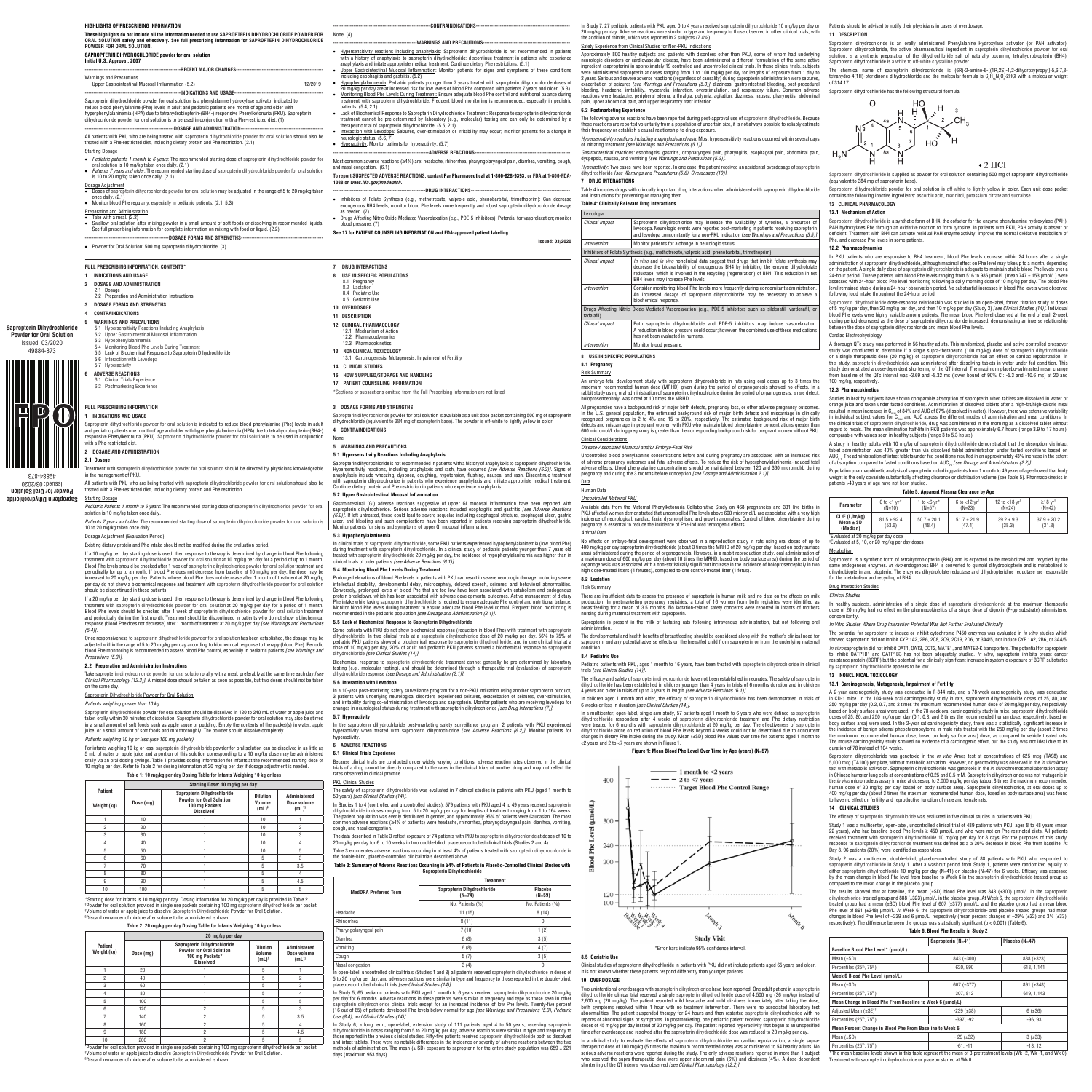**Sapropterin Dihydrochloride Powder for Oral Solution** Issued: 03/2020 49884-873

**Powder for Oral Solution** Issued: 03/2020 49884-873

 $\mathbf D$ 

 $\blacksquare$ 

#### **Sapropterin Dihydrochloride**  Starting Dosage

If a 10 mg/kg per day starting dose is used, then response to therapy is determined by change in blood Phe following treatment with sapropterin dihydrochloride powder for oral solution at 10 mg/kg per day for a period of up to 1 month. Blood Phe levels should be checked after 1 week of sapropterin dihydrochloride powder for oral solution treatment and<br>periodically for up to a month. If blood Phe does not decrease from baseline at 10 mg/kg per day, the do per day do not show a biochemical response and treatment with sapropterin dihydrochloride powder for oral solutio should be discontinued in these patients.

Once responsiveness to sapropterin dihydrochloride powder for oral solution has been established, the dosage may be<br>adjusted within the range of 5 to 20 mg/kg per day according to biochemical response to therapy (blood Phe blood Phe monitoring is recommended to assess blood Phe control, especially in pediatric patients *[see Warnings and Precautions (5.3)]*.

\*Starting dose for infants is 10 mg/kg per day. Dosing information for 20 mg/kg per day is provided in Table 2. †Powder for oral solution provided in single use packets containing 100 mg sapropterin dihydrochloride per packet<br>†Volume of water or apple juice to dissolve Sapropterin Dihydrochloride Powder for Oral Solution.<br>®Discard

Sapropterin dihydrochloride powder for oral solution is available as a unit dose packet containing 500 mg of sapropterin<br>dihydrochloride (equivalent to 384 mg of sapropterin base). The powder is off-white to lightly yellow **4 CONTRAINDICATIONS**

# **1 INDICATIONS AND USAGE**

Sapropterin dihydrochloride powder for oral solution is indicated to reduce blood phenylalanine (Phe) levels in adult and pediatric patients one month of age and older with hyperphenylalaninemia (HPA) due to tetrahydrobiopterin-(BH4-)<br>responsive Phenylketonuria (PKU). Sapropterin dihydrochloride powder for oral solution is to be used in c with a Phe-restricted diet.

#### **2 DOSAGE AND ADMINISTRATION 2.1 Dosage**

Treatment with sapropterin dihydrochloride powder for oral solution should be directed by physicians knowledgeable in the management of PKU.

> Prolonged elevations of blood Phe levels in patients with PKU can result in severe neurologic damage, including severe intellectual disability, developmental delay, microcephaly, delayed speech, seizures, and behavioral abnormalities. Conversely, prolonged levels of blood Phe that are too low have been associated with catabolism and endogenous protein breakdown, which has been associated with adverse developmental outcomes. Active management of dietary Phe intake while taking sapropterin dihydrochloride is required to ensure adequate Phe control and nutritional balance. Monitor blood Phe levels during treatment to ensure adequate blood Phe level control. Frequent blood monitoring is<br>recommended in the pediatric population *[see Dosage and Administration (2.1)].*

All patients with PKU who are being treated with sapropterin dihydrochloride powder for oral solution should also be treated with a Phe-restricted diet, including dietary protein and Phe restriction.

*Pediatric Patients 1 month to 6 years*: The recommended starting dose of sapropterin dihydrochloride powder for oral solution is 10 mg/kg taken once daily.

*Patients 7 years and older*: The recommended starting dose of sapropterin dihydrochloride powder for oral solution is 10 to 20 mg/kg taken once daily.

## Dosage Adjustment (Evaluation Period)

Existing dietary protein and Phe intake should not be modified during the evaluation period.

In the sapropterin dihydrochloride post-marketing safety surveillance program, 2 patients with PKU experienced hyperactivity when treated with sapropterin dihydrochloride *[see Adverse Reactions (6.2)]*. Monitor patients for ., peraetricy<br>hyperactivity.

If a 20 mg/kg per day starting dose is used, then response to therapy is determined by change in blood Phe following  $\,$ nent with sapropterin dihydrochloride powder for oral solution at 20 mg/kg per day for a period of 1 month. Blood Phe levels should be checked after 1 week of sapropterin dihydrochloride powder for oral solution treatment and periodically during the first month. Treatment should be discontinued in patients who do not show a biochemical response (blood Phe does not decrease) after 1 month of treatment at 20 mg/kg per day *[see Warnings and Precautions (5.4)]*.

|     | <b>FULL PRESCRIBING INFORMATION</b>                                                          | DOSAGE FORMS AND STRENGTHS                                                            |  |
|-----|----------------------------------------------------------------------------------------------|---------------------------------------------------------------------------------------|--|
|     |                                                                                              | *Sections or subsections omitted from the Full Prescribing Information are not listed |  |
| 6.2 | Postmarketing Experience                                                                     | PATIENT COUNSELING INFORMATION                                                        |  |
| 6   | <b>ADVERSE REACTIONS</b><br>6.1 Clinical Trials Experience                                   | HOW SUPPLIED/STORAGE AND HANDLING<br>16                                               |  |
|     | 5.7 Hyperactivity                                                                            | <b>CLINICAL STUDIES</b><br>14                                                         |  |
| 5.6 | 5.5 Lack of Biochemical Response to Sapropterin Dihydrochloride<br>Interaction with Levodopa | Carcinogenesis, Mutagenesis, Impairment of Fertility<br>13.1                          |  |
| 5.4 | Monitoring Blood Phe Levels During Treatment                                                 | NONCLINICAL TOXICOLOGY<br>13                                                          |  |
|     | 5.2 Upper Gastrointestinal Mucosal Inflammation<br>5.3 Hypophenylalaninemia                  | 12.2 Pharmacodynamics<br>12.3 Pharmacokinetics                                        |  |
|     | 5.1 Hypersensitivity Reactions Including Anaphylaxis                                         | 12.1 Mechanism of Action                                                              |  |
|     | <b>WARNINGS AND PRECAUTIONS</b>                                                              | 12 CLINICAL PHARMACOLOGY                                                              |  |
|     | <b>CONTRAINDICATIONS</b>                                                                     | DESCRIPTION                                                                           |  |
| 3   | DOSAGE FORMS AND STRENGTHS                                                                   | OVERDOSAGE<br>10                                                                      |  |
|     | 2.2 Preparation and Administration Instructions                                              | 8.5 Geriatric Use                                                                     |  |
|     | 2.1 Dosage                                                                                   | 8.2 Lactation<br>8.4 Pediatric Use                                                    |  |
|     | DOSAGE AND ADMINISTRATION                                                                    | 8.1 Pregnancy                                                                         |  |
|     | INDICATIONS AND USAGE                                                                        | USE IN SPECIFIC PUPULATIONS                                                           |  |

#### **2.2 Preparation and Administration Instructions**

Take sapropterin dihydrochloride powder for oral solution orally with a meal, preferably at the same time each day *[see Clinical Pharmacology (12.3)]*. A missed dose should be taken as soon as possible, but two doses should not be taken on the same day.

> In Study 5, 65 pediatric patients with PKU aged 1 month to 6 years received sapropterin dihydrochloride 20 mg/kg<br>per day for 6 months. Adverse reactions in these patients were similar in frequency and type as those seen in (16 out of 65) of patients developed Phe levels below normal for age *[see Warnings and Precautions (5.3), Pediatric Use (8.4), and Clinical Studies (14)]*.

## Sapropterin Dihydrochloride Powder for Oral Solution

*Patients weighing greater than 10 kg*

In Study 6, a long term, open-label, extension study of 111 patients aged 4 to 50 years, receiving sapropterin dihydrochloride in doses ranging from 5 to 20 mg/kg per day, adverse reactions were similar in type and frequency to<br>those reported in the previous clinical studies. Fifty-five patients received sapropterin dihydrochloride methods of administration. The mean  $(\pm S_D)$  exposure to sapropterin for the entire study population was 659  $\pm$  221 days (maximum 953 days).



Sapropterin dihydrochloride powder for oral solution should be dissolved in 120 to 240 mL of water or apple juice and taken orally within 30 minutes of dissolution. Sapropterin dihydrochloride powder for oral solution may also be stirred<br>in a small amount of soft foods such as apple sauce or pudding. Empty the contents of the packet(s) in juice, or a small amount of soft foods and mix thoroughly. The powder should dissolve completely.

#### *Patients weighing 10 kg or less (use 100 mg packets)*

For infants weighing 10 kg or less, sapropterin dihydrochloride powder for oral solution can be dissolved in as little as 5 mL of water or apple juice and a portion of this solution corresponding to a 10 mg/kg dose may be administered<br>orally via an oral dosing syringe. Table 1 provides dosing information for infants at the recommended startin 10 mg/kg per day. Refer to Table 2 for dosing information at 20 mg/kg per day if dosage adjustment is needed.

# **Table 1: 10 mg/kg per day Dosing Table for Infants Weighing 10 kg or less**

|                               |           | Starting Dose: 10 mg/kg per day                                                                            |                                                  |                                                           |  |
|-------------------------------|-----------|------------------------------------------------------------------------------------------------------------|--------------------------------------------------|-----------------------------------------------------------|--|
| <b>Patient</b><br>Weight (kg) | Dose (mg) | Sapropterin Dihydrochloride<br><b>Powder for Oral Solution</b><br>100 mg Packets<br>Dissolved <sup>+</sup> | <b>Dilution</b><br>Volume<br>$(mL)$ <sup>+</sup> | <b>Administered</b><br>Dose volume<br>$(mL)$ <sup>§</sup> |  |
|                               | 10        |                                                                                                            | 10                                               |                                                           |  |
| $\overline{2}$                | 20        |                                                                                                            | 10                                               | $\overline{2}$                                            |  |
| 3                             | 30        |                                                                                                            | 10                                               | 3                                                         |  |
| 4                             | 40        |                                                                                                            | 10                                               | 4                                                         |  |
| 5                             | 50        |                                                                                                            | 10                                               | 5                                                         |  |
| 6                             | 60        |                                                                                                            | 5                                                | 3                                                         |  |
| 7                             | 70        |                                                                                                            | 5                                                | 3.5                                                       |  |
| 8                             | 80        |                                                                                                            | 5                                                | 4                                                         |  |
| 9                             | 90        |                                                                                                            | 5                                                | 4.5                                                       |  |
| 10                            | 100       |                                                                                                            | 5                                                | 5                                                         |  |

| HIGHLIGHTS OF PRESCRIBING INFORMATION<br>These highlights do not include all the information needed to use SAPROPTERIN DIHYDROCHLORIDE POWDER FOR<br>ORAL SOLUTION safely and effectively. See full prescribing information for SAPROPTERIN DIHYDROCHLORIDE<br>POWDER FOR ORAL SOLUTION.<br>SAPROPTERIN DIHYDROCHLORIDE powder for oral solution<br>Initial U.S. Approval: 2007 | None. (4)<br>• Hypersensitivity reactions including anaphylaxis: Sapropterin dihydrochloride is not recommended in patients<br>with a history of anaphylaxis to sapropterin dihydrochloride; discontinue treatment in patients who experience<br>anaphylaxis and initate appropriate medical treatment. Continue dietary Phe restrictions. (5.1)<br>Upper Gastrointestinal Mucosal Inflammation: Monitor patients for signs and symptoms of these conditions                                                             |                                    | In Study 7, 27 pediatric patients with PKU aged<br>20 mg/kg per day. Adverse reactions were simi<br>the addition of rhinitis, which was reported in 2<br>Safety Experience from Clinical Studies for Non<br>Approximately 800 healthy subjects and patio<br>neurologic disorders or cardiovascular diseas<br>ingredient (sapropterin) in approximately 19 co<br>were administered sapropterin at doses rangin |
|---------------------------------------------------------------------------------------------------------------------------------------------------------------------------------------------------------------------------------------------------------------------------------------------------------------------------------------------------------------------------------|--------------------------------------------------------------------------------------------------------------------------------------------------------------------------------------------------------------------------------------------------------------------------------------------------------------------------------------------------------------------------------------------------------------------------------------------------------------------------------------------------------------------------|------------------------------------|---------------------------------------------------------------------------------------------------------------------------------------------------------------------------------------------------------------------------------------------------------------------------------------------------------------------------------------------------------------------------------------------------------------|
| <b>Warnings and Precautions</b><br>12/2019<br>Upper Gastrointestinal Mucosal Inflammation (5.2)<br>Sapropterin dihydrochloride powder for oral solution is a phenylalanine hydroxylase activator indicated to                                                                                                                                                                   | including esophagitis and gastritis. (5.2)<br>• Hypophenylalaninemia: Pediatric patients younger than 7 years treated with sapropterin dihydrochloride doses of<br>20 mg/kg per day are at increased risk for low levels of blood Phe compared with patients 7 years and older. (5.3)<br>Monitoring Blood Phe Levels During Treatment: Ensure adequate blood Phe control and nutritional balance during<br>treatment with sapropterin dihydrochloride. Frequent blood monitoring is recommended, especially in pediatric |                                    | 2 years. Serious and severe adverse reactions (r<br>exacerbation of seizures [see Warnings and P<br>bleeding, headache, irritability, myocardial in<br>reactions were headache, peripheral edema, a<br>pain, upper abdominal pain, and upper respirat                                                                                                                                                         |
| reduce blood phenylalanine (Phe) levels in adult and pediatric patients one month of age and older with<br>hyperphenylalaninemia (HPA) due to tetrahydrobiopterin-(BH4-) responsive Phenylketonuria (PKU). Sapropterin<br>dihydrochloride powder for oral solution is to be used in conjunction with a Phe-restricted diet. (1)                                                 | patients. (5.4, 2.1)<br>• Lack of Biochemical Response to Sapropterin Dihydrochloride Treatment: Response to sapropterin dihydrochloride<br>treatment cannot be pre-determined by laboratory (e.g., molecular) testing and can only be determined by a<br>therapeutic trial of sapropterin dihydrochloride. (5.5, 2.1)<br>• Interaction with Levodopa: Seizures, over-stimulation or irritability may occur; monitor patients for a change in                                                                            | 6.2 Postmarketing Experience       | The following adverse reactions have been repo<br>these reactions are reported voluntarily from a<br>their frequency or establish a causal relationshi                                                                                                                                                                                                                                                        |
| All patients with PKU who are being treated with sapropterin dihydrochloride powder for oral solution should also be<br>treated with a Phe-restricted diet, including dietary protein and Phe restriction. (2.1)<br><b>Starting Dosage</b>                                                                                                                                      | neurologic status, (5.6, 7)<br>• Hyperactivity: Monitor patients for hyperactivity. (5.7)                                                                                                                                                                                                                                                                                                                                                                                                                                |                                    | Hypersensitivity reactions including anaphylaxi.<br>of initiating treatment [see Warnings and Preca                                                                                                                                                                                                                                                                                                           |
| • Pediatric patients 1 month to 6 years: The recommended starting dose of sapropterin dihydrochloride powder for<br>oral solution is 10 mg/kg taken once daily. (2.1)<br>• Patients 7 years and older. The recommended starting dose of sapropterin dihydrochloride powder for oral solution<br>is 10 to 20 mg/kg taken once daily. (2.1)                                       | Most common adverse reactions ( $\geq$ 4%) are: headache, rhinorrhea, pharyngolaryngeal pain, diarrhea, vomiting, cough,<br>and nasal congestion. (6.1)<br>To report SUSPECTED ADVERSE REACTIONS, contact Par Pharmaceutical at 1-800-828-9393, or FDA at 1-800-FDA-<br>1088 or www.fda.gov/medwatch.                                                                                                                                                                                                                    | 7 DRUG INTERACTIONS                | Gastrointestinal reactions: esophagitis, gastriti<br>dyspepsia, nausea, and vomiting [see Warning,<br>Hyperactivity: Two cases have been reported. In<br>dihydrochloride [see Warnings and Precautions                                                                                                                                                                                                        |
| Dosage Adjustment<br>• Doses of sapropterin dihydrochloride powder for oral solution may be adjusted in the range of 5 to 20 mg/kg taken<br>once daily. (2.1)<br>• Monitor blood Phe regularly, especially in pediatric patients. (2.1, 5.3)                                                                                                                                    | • Inhibitors of Folate Synthesis (e.g., methotrexate, valproic acid, phenobarbital, trimethoprim): Can decrease<br>endogenous BH4 levels; monitor blood Phe levels more frequently and adjust sapropterin dihydrochloride dosage                                                                                                                                                                                                                                                                                         |                                    | Table 4 includes drugs with clinically important<br>and instructions for preventing or managing the<br><b>Table 4: Clinically Relevant Drug Interactions</b>                                                                                                                                                                                                                                                  |
| Preparation and Administration<br>• Take with a meal. $(2.2)$<br>• Swallow oral solution after mixing powder in a small amount of soft foods or dissolving in recommended liquids.<br>See full prescribing information for complete information on mixing with food or liquid. (2.2)                                                                                            | as needed, (7)<br>• Drugs Affecting Nitric Oxide-Mediated Vasorelaxation (e.g., PDE-5 inhibitors): Potential for vasorelaxation; monitor<br>blood pressure. (7)<br>See 17 for PATIENT COUNSELING INFORMATION and FDA-approved patient labeling.                                                                                                                                                                                                                                                                          | Levodopa<br><b>Clinical Impact</b> | Sapropterin dihydro<br>levodopa. Neurologic<br>and levodopa concon                                                                                                                                                                                                                                                                                                                                            |
| • Powder for Oral Solution: 500 mg sapropterin dihydrochloride. (3)                                                                                                                                                                                                                                                                                                             | <b>Issued: 03/2020</b>                                                                                                                                                                                                                                                                                                                                                                                                                                                                                                   | Intervention                       | Monitor patients for a<br>Inhibitors of Folate Synthesis (e.g., methotrex                                                                                                                                                                                                                                                                                                                                     |
| FULL PRESCRIBING INFORMATION: CONTENTS*<br>$\cdots$                                                                                                                                                                                                                                                                                                                             | <b>DRUG INTERACTIONS</b>                                                                                                                                                                                                                                                                                                                                                                                                                                                                                                 | <b>Clinical Impact</b>             | In vitro and in vivo<br>decrease the bioavai<br>reductase which is i                                                                                                                                                                                                                                                                                                                                          |

# **Table 2: 20 mg/kg per day Dosing Table for Infants Weighing 10 kg or less**

|                                                                                                                  |           | 20 mg/kg per day                                                                                      |                                                  |                                                    |
|------------------------------------------------------------------------------------------------------------------|-----------|-------------------------------------------------------------------------------------------------------|--------------------------------------------------|----------------------------------------------------|
| Patient<br>Weight (kg)                                                                                           | Dose (mg) | Sapropterin Dihydrochloride<br><b>Powder for Oral Solution</b><br>100 mg Packets*<br><b>Dissolved</b> | <b>Dilution</b><br>Volume<br>$(mL)$ <sup>†</sup> | Administered<br>Dose volume<br>$(mL)$ <sup>§</sup> |
|                                                                                                                  | 20        |                                                                                                       | 5                                                |                                                    |
| 2                                                                                                                | 40        |                                                                                                       | 5                                                | 2                                                  |
| 3                                                                                                                | 60        |                                                                                                       | 5                                                | 3                                                  |
| 4                                                                                                                | 80        |                                                                                                       | 5                                                | 4                                                  |
| 5                                                                                                                | 100       |                                                                                                       | 5                                                | 5                                                  |
| 6                                                                                                                | 120       | $\overline{2}$                                                                                        | 5                                                | 3                                                  |
|                                                                                                                  | 140       | $\overline{2}$                                                                                        | 5                                                | 3.5                                                |
| 8                                                                                                                | 160       | $\overline{2}$                                                                                        | 5                                                | 4                                                  |
| 9                                                                                                                | 180       | $\overline{2}$                                                                                        | 5                                                | 4.5                                                |
| 10                                                                                                               | 200       | 2                                                                                                     | 5                                                | 5                                                  |
| Powder for oral solution provided in single use packets containing 100 mg sapropterin dihydrochloride per packet |           |                                                                                                       |                                                  |                                                    |

Powder for oral solution provided in single use packets containing 100 mg sapropterin dihydrochloride per packet † Volume of water or apple juice to dissolve Sapropterin Dihydrochloride Powder for Oral Solution. § Discard remainder of mixture after volume to be administered is drawn.

# None.

# **5 WARNINGS AND PRECAUTIONS**

**5.1 Hypersensitivity Reactions Including Anaphylaxis**

No effects on embryo-fetal development were observed in a reproduction study in rats using oral doses of up to 400 mg/kg per day sapropterin dihydrochloride (about 3 times the MRHD of 20 mg/kg per day, based on body surface area) administered during the period of organogenesis. However, in a rabbit reproduction study, oral administration of a maximum dose of 600 mg/kg per day (about 10 times the MRHD, based on body surface area) during the period of<br>organogenesis was associated with a non-statistically significant increase in the incidence of holoprosencephal

Sapropterin dihydrochloride is not recommended in patients with a history of anaphylaxis to sapropterin dihydrochloride. Hypersensitivity reactions, including anaphylaxis and rash, have occurred *[see Adverse Reactions (6.2)].* Signs of<br>anaphylaxis include wheezing, dyspnea, coughing, hypotension, flushing, nausea, and rash. Discontinue trea Continue dietary protein and Phe restriction in patients who experience anaphylaxis.

#### **5.2 Upper Gastrointestinal Mucosal Inflammation**

Gastrointestinal (GI) adverse reactions suggestive of upper GI mucosal inflammation have been reported with sapropterin dihydrochloride. Serious adverse reactions included esophagitis and gastritis *[see Adverse Reactions (6.2)].* If left untreated, these could lead to severe sequelae including esophageal stricture, esophageal ulcer, gastric<br>ulcer, and bleeding and such complications have been reported in patients receiving sapropterin dih (*UCL)*, it is interesting and such complications have been reported in patient<br>Monitor patients for signs and symptoms of upper GI mucosal inflammation.

# The efficacy and safety of sapropterin dihydrochloride have not been established in neonates. The safety of sapropterin dihydrochloride has been established in children younger than 4 years in trials of 6 months duration and in children<br>4 years and older in trials of up to 3 years in length *[see Adverse Reactions (6.1)].*

#### **5.3 Hypophenylalaninemia**

In clinical trials of sapropterin dihydrochloride, some PKU patients experienced hypophenylalaninemia (low blood Phe) during treatment with sapropterin dihydrochloride. In a clinical study of pediatric patients younger than 7 years old treated with sapropterin dihydrochloride 20 mg/kg per day, the incidence of hypophenylalaninemia was higher than in clinical trials of older patients *[see Adverse Reactions (6.1)]*.

#### **5.4 Monitoring Blood Phe Levels During Treatment**

In a multicenter, open-label, single arm study, 57 patients aged 1 month to 6 years who were defined as sapropterin<br>dihydrochloride responders after 4 weeks of sapropterin dihydrochloride treatment and Phe dieta were treated for 6 months with sapropterin dihydrochloride at 20 mg/kg per day. The effectiveness of sapropterin dihydrochloride alone on reduction of blood Phe levels beyond 4 weeks could not be determined due to concurrent<br>changes in dietary Phe intake during the study. Mean (±SD) blood Phe values over time for patients aged 1 mont <2 years and 2 to <7 years are shown in Figure 1.

Two unintentional overdosages with sapropterin dihydrochloride have been reported. One adult patient in a sapropterir dihydrochloride clinical trial received a single sapropterin dihydrochloride dose of 4,500 mg (36 mg/kg) instead of 2,600 mg (20 mg/kg). The patient reported mild headache and mild dizziness immediately after taking the dose; both symptoms resolved within 1 hour with no treatment intervention. There were no associated laboratory test abnormalities. The patient suspended therapy for 24 hours and then restarted sapropterin dihydrochloride with no<br>reports of abnormal signs or symptoms. In postmarketing, one pediatric patient received sapropterin dihydroch doses of 45 mg/kg per day instead of 20 mg/kg per day. The patient reported hyperactivity that began at an unspecified time after overdosage and resolved after the sapropterin dihydrochloride dose was reduced to 20 mg/kg per day.

### **5.5 Lack of Biochemical Response to Sapropterin Dihydrochloride**

nts with PKU aged 0 to 4 years received sapropterin dihydrochloride 10 mg/kg per day or ctions were similar in type and frequency to those observed in other clinical trials, with  $\frac{1}{2}$  and  $\frac{1}{2}$  reported in 2 subjects (7.4%). Patients should be advised to notify their physicians in cases of overdosage. **11 DESCRIPTION**

#### I Studies for Non-PKU Indications

ubjects and patients with disorders other than PKU, some of whom had underlying neurological disorders or cardiovascular disease, have been administered a different formulation of the same active increase the controlled and uncontrolled clinical trials. In these clinical trials, sub at doses ranging from 1 to 100 mg/kg per day for lengths of exposure from 1 day to 2 years. Serious and severe adverse reactions (regardless of causality) during sapropterin administration were seizures,<br>exacerbation of seizures *[see Warnings and Precautions (5.3)],* dizziness, gastrointestinal bleeding pheral edema, arthralgia, polyuria, agitation, dizziness, nausea, pharyngitis, abdomina d upper respiratory tract infection

Some patients with PKU do not show biochemical response (reduction in blood Phe) with treatment with sapropterin dihydrochloride. In two clinical trials at a sapropterin dihydrochloride dose of 20 mg/kg per day, 56% to 75% of<br>pediatric PKU patients showed a biochemical response to sapropterin dihydrochloride, and in one clinical tria dose of 10 mg/kg per day, 20% of adult and pediatric PKU patients showed a biochemical response to sapropterin dihydrochloride *[see Clinical Studies (14)]*.

Sapropterin dihydrochloride is supplied as powder for oral solution containing 500 mg of sapropterin dihydrochlorid (equivalent to 384 mg of sapropterin base).

Biochemical response to sapropterin dihydrochloride treatment cannot generally be pre-determined by laboratory testing (e.g., molecular testing), and should be determined through a therapeutic trial (evaluation) of sapropterin dihydrochloride response *[see Dosage and Administration (2.1)]*.

Sapropterin dihydrochloride powder for oral solution is off-white to lightly yellow in color. Each unit dose packet contains the following inactive ingredients: ascorbic acid, mannitol, potassium citrate and sucralose. **12 CLINICAL PHARMACOLOGY**

#### **5.6 Interaction with Levodopa**

In a 10-year post-marketing safety surveillance program for a non-PKU indication using another sapropterin product, 3 patients with underlying neurological disorders experienced seizures, exacerbation of seizures, over-stimulation, and irritability during co-administration of levodopa and sapropterin. Monitor patients who are receiving levodopa for changes in neurological status during treatment with sapropterin dihydrochloride *[see Drug Interactions (7)]*.

In PKU patients who are responsive to BH4 treatment, blood Phe levels decrease within 24 hours after a singli administration of sapropterin dihydrochloride, although maximal effect on Phe level may take up to a month, depending on the patient. A single daily dose of sapropterin dihydrochloride is adequate to maintain stable blood Phe levels over a 24-hour period. Twelve patients with blood Phe levels ranging from 516 to 986 μmol/L (mean 747 ± 153 μmol/L) were assessed with 24-hour blood Phe level monitoring following a daily morning dose of 10 mg/kg per day. The blood Phe<br>Ievel remained stable during a 24-hour observation period. No substantial increases in blood Phe levels wer following food intake throughout the 24-hour period.

#### **5.7 Hyperactivity**

#### **6 ADVERSE REACTIONS**

# **6.1 Clinical Trials Experience**

Because clinical trials are conducted under widely varying conditions, adverse reaction rates observed in the clinical<br>trials of a drug cannot be directly compared to the rates in the clinical trials of another drug and ma the rates in the clinical trials of another drug and may no

rates observed in clinical practice.

### PKU Clinical Studies

Studies in healthy subjects have shown comparable absorption of sapropterin when tablets are dissolved in water or orange juice and taken under fasted conditions. Administration of dissolved tablets after a high-fat/high-calorie meal<br>resulted in mean increases in C<sub>max</sub> of 84% and AUC of 87% (dissolved in water). However, there was ext in individual subject values for C<sub>aax</sub> and AUC across the different modes of administration and meal conditions. In<br>the clinical trials of sapropterin dihydrochloride, drug was administered in the morning as a dissolved t nparable with values seen in healthy subjects (range 3 to 5.3 hours).

A study in healthy adults with 10 mg/kg of sapropterin dihydrochloride demonstrated that the absorption via intact<br>tablet administration was 40% greater than via dissolved tablet administration under fasted conditions base AUC0-t. The administration of intact tablets under fed conditions resulted in an approximately 43% increase in the extent of absorption compared to fasted conditions based on AUC<sub>0-t</sub> *[see Dosage and Administration (2.2)]*.

The safety of sapropterin dihydrochloride was evaluated in 7 clinical studies in patients with PKU (aged 1 month to 50 years) *[see Clinical Studies (14)]*.

In Studies 1 to 4 (controlled and uncontrolled studies), 579 patients with PKU aged 4 to 49 years received sapropterin dihydrochloride in doses ranging from 5 to 20 mg/kg per day for lengths of treatment ranging from 1 to 164 weeks.<br>The patient population was evenly distributed in gender, and approximately 95% of patients were Caucasian. cough, and nasal congestion.

The data described in Table 3 reflect exposure of 74 patients with PKU to sapropterin dihydrochloride at doses of 10 to 20 mg/kg per day for 6 to 10 weeks in two double-blind, placebo-controlled clinical trials (Studies 2 and 4).

**Parameter** 0 to <1 yr  $(N-10)$ 1 to  $<$ 6 vr $<$  $(N-57)$ 6 to <12 yr†  $(N=23)$ 12 to <18 yr†  $(N=24)$ ≥18 yr†  $(N-42)$ **CL/F (L/hr/kg) Mean ± SD (Median)**  $81.5 + 92.4$ (53.6)  $50.7 \pm 20.1$ (48.4)  $51.7 + 21.9$ (47.4)  $39.2 + 9.3$ (38.3)  $37.9 \pm 20.2$ (31.8)

Table 3 enumerates adverse reactions occurring in at least 4% of patients treated with sapropterin dihydrochloride in the double-blind, placebo-controlled clinical trials described above.

# **Table 3: Summary of Adverse Reactions Occurring in ≥4% of Patients in Placebo-Controlled Clinical Studies with Sapropterin Dihydrochloride**

Sapropterin is a synthetic form of tetrahydrobiopterin (BH4) and is expected to be metabolized and recycled by the<br>same endogenous enzymes. *In vivo* endogenous BH4 is converted to quinoid dihydrobiopterin and is metaboliz dihydrobiopterin and biopterin. The enzymes dihydrofolate reductase and dihydropteridine reductase are responsible for the metabolism and recycling of BH4.

|                                                                 | <b>Treatment</b>                                                                                                                                                                                                                                      |                     |  |
|-----------------------------------------------------------------|-------------------------------------------------------------------------------------------------------------------------------------------------------------------------------------------------------------------------------------------------------|---------------------|--|
| <b>MedDRA Preferred Term</b>                                    | Sapropterin Dihydrochloride<br>$(N=74)$                                                                                                                                                                                                               | Placebo<br>$(N=59)$ |  |
|                                                                 | No. Patients (%)                                                                                                                                                                                                                                      | No. Patients (%)    |  |
| Headache                                                        | 11(15)                                                                                                                                                                                                                                                | 8(14)               |  |
| Rhinorrhea                                                      | 8(11)                                                                                                                                                                                                                                                 | 0                   |  |
| Pharyngolaryngeal pain                                          | 7(10)                                                                                                                                                                                                                                                 | 1(2)                |  |
| Diarrhea                                                        | 6(8)                                                                                                                                                                                                                                                  | 3(5)                |  |
| Vomitina                                                        | 6(8)                                                                                                                                                                                                                                                  | 4(7)                |  |
| Cough                                                           | 5(7)                                                                                                                                                                                                                                                  | 3(5)                |  |
| Nasal congestion                                                | 3(4)                                                                                                                                                                                                                                                  | 0                   |  |
| placebo-controlled clinical trials [see Clinical Studies (14)]. | In open-label, uncontrolled clinical trials (Studies 1 and 3) all patients received sapropterin dihydrochloride in doses of<br>5 to 20 mg/kg per day, and adverse reactions were similar in type and frequency to those reported in the double-blind, |                     |  |

A 2-year carcinogenicity study was conducted in F-344 rats, and a 78-week carcinogenicity study was conducted<br>in CD-1 mice. In the 104-week oral carcinogenicity study in rats, sapropterin dihydrochloride doses of 25, 80, a 250 mg/kg per day (0.2, 0.7, and 2 times the maximum recommended human dose of 20 mg/kg per day, respectively, based on body surface area) were used. In the 78-week oral carcinogenicity study in mice, sapropterin dihydrochloride<br>doses of 25, 80, and 250 mg/kg per day (0.1, 0.3, and 2 times the recommended human dose, respectively, body surface area) were used. In the 2-year rat carcinogenicity study, there was a statistically significant increase in<br>the incidence of benign adrenal pheochromocytoma in male rats treated with the 250 mg/kg per day (abo the maximum recommended human dose, based on body surface area) dose, as compared to vehicle treated rats. The mouse carcinogenicity study showed no evidence of a carcinogenic effect, but the study was not ideal due to its

Study 1 was a multicenter, open-label, uncontrolled clinical trial of 489 patients with PKU, ages 8 to 48 years (mean 22 years), who had baseline blood Phe levels ≥ 450 µmol/L and who were not on Phe-restricted diets. All patients<br>received treatment with sapropterin dihydrochloride 10 mg/kg per day for 8 days. For the purposes of this st response to sapropterin dihydrochloride treatment was defined as a ≥ 30% decrease in blood Phe from baseline. At Day 8, 96 patients (20%) were identified as responders.

#### **6.2 Postmarketing Experience**

Ins have been reported during post-approval use of sapropterin dihydrochloride. Because luntarily from a population of uncertain size, it is not always possible to reliably estimate there are a contracted a causal relationship to drug exposure.

*Hypersensitivity reactions including anaphylaxis and rash*: Most hypersensitivity reactions occurred within several days of initiating treatment *[see Warnings and Precautions (5.1)]*.

*Gastrointestinal reactions:* esophagitis, gastritis, oropharyngeal pain, pharyngitis, esophageal pain, abdominal pain, dyspepsia, nausea, and vomiting *[see Warnings and Precautions (5.2)]*.

**been reported. In one case, the patient received an accidental overdosage of sapropteri** and Precautions (5.6), Overdosage (10)].

inically important drug interactions when administered with sapropterin dihydrochloride g or managing them

| Levodopa                                                                                                                                                                                                                                                                                                                                           |                                                                                                                                                                                                                                                                                                                                                                                                                                                                                                                                                                                                  |  |
|----------------------------------------------------------------------------------------------------------------------------------------------------------------------------------------------------------------------------------------------------------------------------------------------------------------------------------------------------|--------------------------------------------------------------------------------------------------------------------------------------------------------------------------------------------------------------------------------------------------------------------------------------------------------------------------------------------------------------------------------------------------------------------------------------------------------------------------------------------------------------------------------------------------------------------------------------------------|--|
| <b>Clinical Impact</b>                                                                                                                                                                                                                                                                                                                             | Sapropterin dihydrochloride may increase the availability of tyrosine, a precursor of<br>levodopa. Neurologic events were reported post-marketing in patients receiving sapropterin<br>and levodopa concomitantly for a non-PKU indication [see Warnings and Precautions (5.5)]                                                                                                                                                                                                                                                                                                                  |  |
| <b>Intervention</b>                                                                                                                                                                                                                                                                                                                                | Monitor patients for a change in neurologic status.                                                                                                                                                                                                                                                                                                                                                                                                                                                                                                                                              |  |
|                                                                                                                                                                                                                                                                                                                                                    | Inhibitors of Folate Synthesis (e.g., methotrexate, valproic acid, phenobarbital, trimethoprim)                                                                                                                                                                                                                                                                                                                                                                                                                                                                                                  |  |
| <b>Clinical Impact</b><br>In vitro and in vivo nonclinical data suggest that drugs that inhibit folate synthesis may<br>decrease the bioavailability of endogenous BH4 by inhibiting the enzyme dihydrofolate<br>reductase, which is involved in the recycling (regeneration) of BH4. This reduction in net<br>BH4 levels may increase Phe levels. |                                                                                                                                                                                                                                                                                                                                                                                                                                                                                                                                                                                                  |  |
| <b>Intervention</b>                                                                                                                                                                                                                                                                                                                                | Consider monitoring blood Phe levels more frequently during concomitant administration.<br>An increased dosage of sapropterin dihydrochloride may be necessary to achieve a<br>biochemical response.                                                                                                                                                                                                                                                                                                                                                                                             |  |
| tadalafil)                                                                                                                                                                                                                                                                                                                                         | Drugs Affecting Nitric Oxide-Mediated Vasorelaxation (e.g., PDE-5 inhibitors such as sildenafil, vardenafil, or                                                                                                                                                                                                                                                                                                                                                                                                                                                                                  |  |
| Clinical Impact                                                                                                                                                                                                                                                                                                                                    | Both sapropterin dihydrochloride and PDE-5 inhibitors may induce vasorelaxation.<br>A reduction in blood pressure could occur; however, the combined use of these medications<br>has not been evaluated in humans.                                                                                                                                                                                                                                                                                                                                                                               |  |
| Intervention                                                                                                                                                                                                                                                                                                                                       | Monitor blood pressure.                                                                                                                                                                                                                                                                                                                                                                                                                                                                                                                                                                          |  |
| 8 USE IN SPECIFIC POPULATIONS                                                                                                                                                                                                                                                                                                                      |                                                                                                                                                                                                                                                                                                                                                                                                                                                                                                                                                                                                  |  |
| 8.1 Pregnancy                                                                                                                                                                                                                                                                                                                                      |                                                                                                                                                                                                                                                                                                                                                                                                                                                                                                                                                                                                  |  |
| <b>Risk Summary</b>                                                                                                                                                                                                                                                                                                                                |                                                                                                                                                                                                                                                                                                                                                                                                                                                                                                                                                                                                  |  |
|                                                                                                                                                                                                                                                                                                                                                    | An embryo-fetal development study with sapropterin dihydrochloride in rats using oral doses up to 3 times the<br>maximum recommended human dose (MRHD) given during the period of organogenesis showed no effects. In a<br>rabbit study using oral administration of sapropterin dihydrochloride during the period of organogenesis, a rare defect,<br>holoprosencephaly, was noted at 10 times the MRHD.                                                                                                                                                                                        |  |
| <b>Clinical Considerations</b>                                                                                                                                                                                                                                                                                                                     | All pregnancies have a background risk of major birth defects, pregnancy loss, or other adverse pregnancy outcomes.<br>In the U.S. general population, the estimated background risk of major birth defects and miscarriage in clinically<br>recognized pregnancies is 2 to 4% and 15 to 20%, respectively. The estimated background risk of major birth<br>defects and miscarriage in pregnant women with PKU who maintain blood phenylalanine concentrations greater than<br>600 micromol/L during pregnancy is greater than the corresponding background risk for pregnant women without PKU. |  |

# *Disease-Associated Maternal and/or Embryo-Fetal Risk*

Uncontrolled blood phenylalanine concentrations before and during pregnancy are associated with an increased risk of adverse pregnancy outcomes and fetal adverse effects. To reduce the risk of hyperphenylalaninemia-induced fetal<br>adverse effects, blood phenylalanine concentrations should be maintained between 120 and 360 micromol/L dur pregnancy and during the 3 months before conception *[see Dosage and Administration 2.1)].*

Data

# Human Data

*Uncontrolled Maternal PKU* 

Available data from the Maternal Phenylketonuria Collaborative Study on 468 pregnancies and 331 live births in PKU-affected women demonstrated that uncontrolled Phe levels above 600 micromol/L are associated with a very high<br>incidence of neurological, cardiac, facial dysmorphism, and growth anomalies. Control of blood phenylalanine pregnancy is essential to reduce the incidence of Phe-induced teratogenic effects.

### *Animal Data*

#### **8.2 Lactation**  Risk Summary

#### There are insufficient data to assess the presence of sapropterin in human milk and no data on the effects on milk production. In postmarketing pregnancy registries, a total of 16 women from both registries were identified as breastfeeding for a mean of 3.5 months. No lactation-related safety concerns were reported in infants of mothers nursing during maternal treatment with sapropterin.

Sapropterin is present in the milk of lactating rats following intravenous administration, but not following oral administration.

The developmental and health benefits of breastfeeding should be considered along with the mother's clinical need for<br>sapropterin and any potential adverse effects on the breastfed child from sapropterin or from the underl

#### condition. **8.4 Pediatric Use**

Pediatric patients with PKU, ages 1 month to 16 years, have been treated with sapropterin dihydrochloride in clinical trials *[see Clinical Studies (14)].*

In children aged 1 month and older, the efficacy of sapropterin dihydrochloride has been demonstrated in trials of 6 weeks or less in duration *[see Clinical Studies (14)]*.

#### **Figure 1: Mean Blood Phe Level Over Time by Age (years) (N=57)**

\*Error bars indicate 95% confidence interval.

# **8.5 Geriatric Use**

Clinical studies of sapropterin dihydrochloride in patients with PKU did not include patients aged 65 years and older. It is not known whether these patients respond differently than younger patients.

#### **10 OVERDOSAGE**

In a clinical study to evaluate the effects of sapropterin dihydrochloride on cardiac repolarization, a single supratherapeutic dose of 100 mg/kg (5 times the maximum recommended dose) was administered to 54 healthy adults. No<br>serious adverse reactions were reported during the study. The only adverse reactions reported in more than 1 su who received the supra-therapeutic dose were upper abdominal pain (6%) and dizziness (4%). A dose-dependent shortening of the QT interval was observed *[see Clinical Pharmacology (12.2)].* 

Sapropterin dihydrochloride is an orally administered Phenylalanine Hydroxylase activator (or PAH activator). Sapropterin dihydrochloride, the active pharmaceutical ingredient in sapropterin dihydrochloride powder for ora solution, is a synthetic preparation of the dihydrochloride salt of naturally occurring tetrahydrobiopterin (BH4). Sapropterin dihydrochloride is a white to off-white crystalline powder.

The chemical name of sapropterin dihydrochloride is (6R)-2-amino-6-[(1R,2S)-1,2-dihydroxypropyl]-5,6,7,8 tetrahydro-4(1H)-pteridinone dihydrochloride and the molecular formula is C<sub>s</sub>H<sub>15</sub>N<sub>5</sub>O<sub>3</sub>·2HCl with a molecular weight of 314.17.

Sapropterin dihydrochloride has the following structural formula:



# $\bullet$  2 HCl

#### **12.1 Mechanism of Action**

Sapropterin dihydrochloride is a synthetic form of BH4, the cofactor for the enzyme phenylalanine hydroxylase (PAH). PAH hydroxylates Phe through an oxidative reaction to form tyrosine. In patients with PKU, PAH activity is absent or deficient. Treatment with BH4 can activate residual PAH enzyme activity, improve the normal oxidative metabolism of Phe, and decrease Phe levels in some patients.

#### **12.2 Pharmacodynamics**

Sapropterin dihydrochloride dose-response relationship was studied in an open-label, forced titration study at doses of 5 mg/kg per day, then 20 mg/kg per day, and then 10 mg/kg per day (Study 3) *[see Clinical Studies (14)]*. Individual blood Phe levels were highly variable among patients. The mean blood Phe level observed at the end of each 2-week<br>dosing period decreased as the dose of sapropterin dihydrochloride increased, demonstrating an inverse relat between the dose of sapropterin dihydrochloride and mean blood Phe levels.

# Cardiac Electrophysiology

A thorough QTc study was performed in 56 healthy adults. This randomized, placebo and active controlled crossover study was conducted to determine if a single supra-therapeutic (100 mg/kg) dose of sapropterin dihydrochloride or a single therapeutic dose (20 mg/kg) of sapropterin dihydrochloride had an effect on cardiac repolarization. In<br>this study, sapropterin dihydrochloride was administered after dissolving tablets in water under fed condit study demonstrated a dose-dependent shortening of the QT interval. The maximum placebo-subtracted mean change from baseline of the QTc interval was -3.69 and -8.32 ms (lower bound of 90% CI: -5.3 and -10.6 ms) at 20 and 100 mg/kg, respectively.

#### **12.3 Pharmacokinetics**

Population pharmacokinetic analysis of sapropterin including patients from 1 month to 49 years of age showed that body weight is the only covariate substantially affecting clearance or distribution volume (see Table 5). Pharmacokinetics in patients >49 years of age have not been studied.

#### **Table 5. Apparent Plasma Clearance by Age**

\* Evaluated at 20 mg/kg per day dose † Evaluated at 5, 10, or 20 mg/kg per day doses

Metabolism

#### Drug Interaction Studies

*Clinical Studies*

In healthy subjects, administration of a single dose of sapropterin dihydrochloride at the maximum therapeutic dose of 20 mg/kg had no effect on the pharmacokinetics of a single dose of digoxin (P-gp substrate) administered

concomitantly.

*In Vitro Studies Where Drug Interaction Potential Was Not Further Evaluated Clinically*

The potential for sapropterin to induce or inhibit cytochrome P450 enzymes was evaluated in *in vitro* studies which showed sapropterin did not inhibit CYP 1A2, 2B6, 2C8, 2C9, 2C19, 2D6, or 3A4/5, nor induce CYP 1A2, 2B6, or 3A4/5. *In vitro* sapropterin did not inhibit OAT1, OAT3, OCT2, MATE1, and MATE2-K transporters. The potential for sapropterin to inhibit OATP1B1 and OATP1B3 has not been adequately studied. *In vitro*, sapropterin inhibits breast cancer resistance protein (BCRP) but the potential for a clinically significant increase in systemic exposure of BCRP substrates

by sapropterin dihydrochloride appears to be low.

**13 NONCLINICAL TOXICOLOGY**

**13.1 Carcinogenesis, Mutagenesis, Impairment of Fertility** 

duration of 78 instead of 104 weeks.

Sapropterin dihydrochloride was genotoxic in the *in vitro* Ames test at concentrations of 625 mcg (TA98) and 5,000 mcg (TA100) per plate, without metabolic activation. However, no genotoxicity was observed in the *in vitro* Ames

in Chinese hamster lung cells at concentrations of 0.25 and 0.5 mM. Sapropterin dihydrochloride was not mutagenic in the *in vivo* micronucleus assay in mice at doses up to 2,000 mg/kg per day (about 8 times the maximum recommended human dose of 20 mg/kg per day, based on body surface area). Sapropterin dihydrochloride, at oral doses up to 400 mg/kg per day (about 3 times the maximum recommended human dose, based on body surface area) was found to have no effect on fertility and reproductive function of male and female rats.

#### **14 CLINICAL STUDIES**

The efficacy of sapropterin dihydrochloride was evaluated in five clinical studies in patients with PKU.

test with metabolic activation. Sapropterin dihydrochloride was genotoxic in the *in vitro* ch

Study 2 was a multicenter, double-blind, placebo-controlled study of 88 patients with PKU who responded to sapropterin dihydrochloride in Study 1. After a washout period from Study 1, patients were randomized equally to<br>either sapropterin dihydrochloride 10 mg/kg per day (N=41) or placebo (N=47) for 6 weeks. Efficacy was assess by the mean change in blood Phe level from baseline to Week 6 in the sapropterin dihydrochloride-treated group as compared to the mean change in the placebo group.

The results showed that at baseline, the mean  $(\pm SD)$  blood Phe level was 843  $(\pm 300)$  µmol/L in the sapropterin dihydrochloride-treated group and 888 (±323) μmol/L in the placebo group. At Week 6, the sapropterin dihydrochloride treated group had a mean (±SD) blood Phe level of 607 (±377) μmol/L, and the placebo group had a mean blood Phe level of 891 (±348) μmol/L. At Week 6, the sapropterin dihydrochloride- and placebo treated groups had mean changes in blood Phe level of –239 and 6 μmol/L, respectively (mean percent changes of –29% (±32) and 3% (±33),<br>respectively). The difference between the groups was statistically significant (p < 0.001) (Table 6).

#### **Table 6: Blood Phe Results in Study 2**

|                                                           | Sapropterin (N=41) | Placebo (N=47) |
|-----------------------------------------------------------|--------------------|----------------|
| Baseline Blood Phe Level* (µmol/L)                        |                    |                |
| Mean $(\pm SD)$                                           | 843 (±300)         | 888 (±323)     |
| Percentiles (25th, 75th)                                  | 620, 990           | 618, 1, 141    |
| Week 6 Blood Phe Level (µmol/L)                           |                    |                |
| Mean $(\pm SD)$                                           | 607 $(+377)$       | 891 $(+348)$   |
| Percentiles (25th, 75th)                                  | 307, 812           | 619, 1, 143    |
| Mean Change in Blood Phe From Baseline to Week 6 (µmol/L) |                    |                |
| Adjusted Mean (±SE) <sup>†</sup>                          | $-239 (+38)$       | $6 (+36)$      |
| Percentiles (25th, 75th)                                  | $-397. -92$        | $-96, 93$      |
| Mean Percent Change in Blood Phe From Baseline to Week 6  |                    |                |
| Mean $(\pm SD)$                                           | $-29(.132)$        | $3 (+33)$      |
| Percentiles (25th, 75th)                                  | $-61, -11$         | $-13, 12$      |

\*The mean baseline levels shown in this table represent the mean of 3 pretreatment levels (Wk -2, Wk -1, and Wk 0). Treatment with sapropterin dihydrochloride or placebo started at Wk 0.